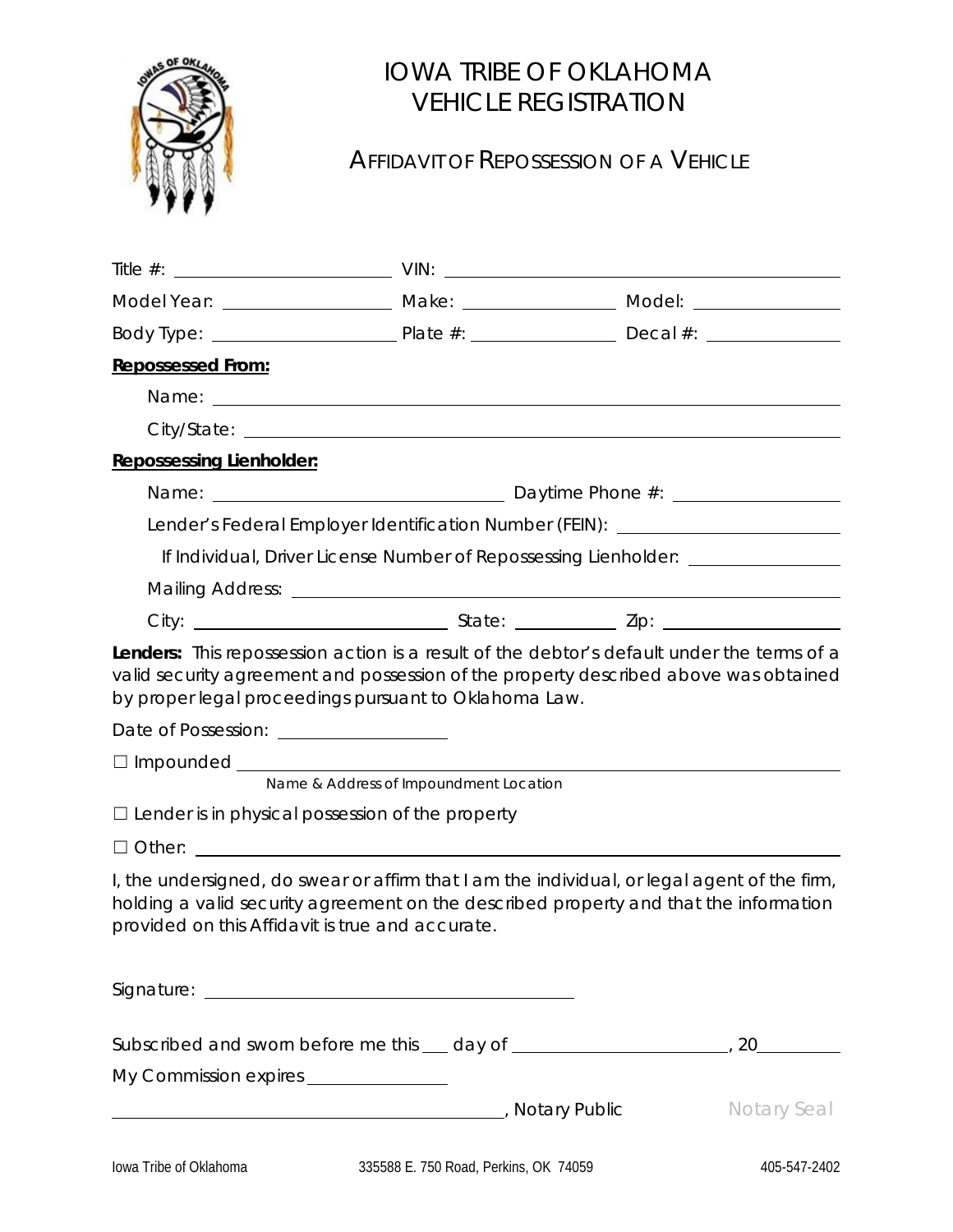

## IOWA TRIBE OF OKLAHOMA VEHICLE REGISTRATION

## AFFIDAVIT OF REPOSSESSION OF A VEHICLE

|                                                                                                   |                                                                                                                                  | Model Year: _________________________ Make: ______________________ Model: _________________________                                                                                   |
|---------------------------------------------------------------------------------------------------|----------------------------------------------------------------------------------------------------------------------------------|---------------------------------------------------------------------------------------------------------------------------------------------------------------------------------------|
|                                                                                                   |                                                                                                                                  |                                                                                                                                                                                       |
| <b>Repossessed From:</b>                                                                          |                                                                                                                                  |                                                                                                                                                                                       |
|                                                                                                   |                                                                                                                                  |                                                                                                                                                                                       |
|                                                                                                   |                                                                                                                                  |                                                                                                                                                                                       |
| <b>Repossessing Lienholder:</b>                                                                   |                                                                                                                                  |                                                                                                                                                                                       |
|                                                                                                   |                                                                                                                                  |                                                                                                                                                                                       |
|                                                                                                   |                                                                                                                                  | Lender's Federal Employer Identification Number (FEIN): ________________________                                                                                                      |
|                                                                                                   |                                                                                                                                  | If Individual, Driver License Number of Repossessing Lienholder: _______________                                                                                                      |
|                                                                                                   |                                                                                                                                  |                                                                                                                                                                                       |
|                                                                                                   |                                                                                                                                  |                                                                                                                                                                                       |
| Date of Possession: __________________<br>$\Box$ Lender is in physical possession of the property | by proper legal proceedings pursuant to Oklahoma Law.<br>$\square$ Impounded $\square$<br>Name & Address of Impoundment Location |                                                                                                                                                                                       |
|                                                                                                   | $\Box$ Other: $\Box$                                                                                                             |                                                                                                                                                                                       |
| provided on this Affidavit is true and accurate.                                                  |                                                                                                                                  | I, the undersigned, do swear or affirm that I am the individual, or legal agent of the firm,<br>holding a valid security agreement on the described property and that the information |
|                                                                                                   |                                                                                                                                  |                                                                                                                                                                                       |
|                                                                                                   |                                                                                                                                  |                                                                                                                                                                                       |
| My Commission expires _______________                                                             |                                                                                                                                  |                                                                                                                                                                                       |
|                                                                                                   | Motary Public Reserves and Contract Contract Public Reserves and Contract Public Reserves and Contract Public                    | <b>Notary Seal</b>                                                                                                                                                                    |
|                                                                                                   |                                                                                                                                  |                                                                                                                                                                                       |